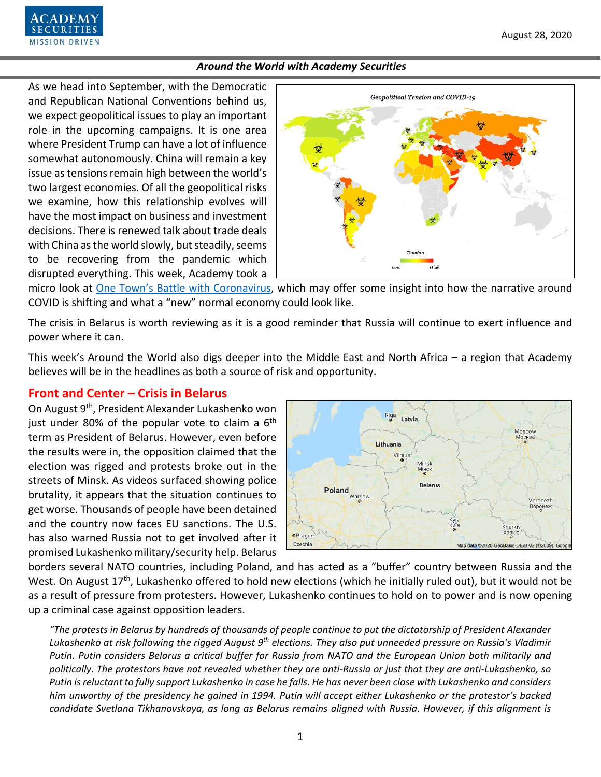

As we head into September, with the Democratic and Republican National Conventions behind us, we expect geopolitical issues to play an important role in the upcoming campaigns. It is one area where President Trump can have a lot of influence somewhat autonomously. China will remain a key issue as tensions remain high between the world's two largest economies. Of all the geopolitical risks we examine, how this relationship evolves will have the most impact on business and investment decisions. There is renewed talk about trade deals with China as the world slowly, but steadily, seems to be recovering from the pandemic which disrupted everything. This week, Academy took a



micro look at **One Town's Battle with Coronavirus**, which may offer some insight into how the narrative around COVID is shifting and what a "new" normal economy could look like.

The crisis in Belarus is worth reviewing as it is a good reminder that Russia will continue to exert influence and power where it can.

This week's Around the World also digs deeper into the Middle East and North Africa – a region that Academy believes will be in the headlines as both a source of risk and opportunity.

# **Front and Center – Crisis in Belarus**

On August 9<sup>th</sup>, President Alexander Lukashenko won just under 80% of the popular vote to claim a  $6<sup>th</sup>$ term as President of Belarus. However, even before the results were in, the opposition claimed that the election was rigged and protests broke out in the streets of Minsk. As videos surfaced showing police brutality, it appears that the situation continues to get worse. Thousands of people have been detained and the country now faces EU sanctions. The U.S. has also warned Russia not to get involved after it promised Lukashenko military/security help. Belarus



borders several NATO countries, including Poland, and has acted as a "buffer" country between Russia and the West. On August 17<sup>th</sup>, Lukashenko offered to hold new elections (which he initially ruled out), but it would not be as a result of pressure from protesters. However, Lukashenko continues to hold on to power and is now opening up a criminal case against opposition leaders.

*"The protests in Belarus by hundreds of thousands of people continue to put the dictatorship of President Alexander Lukashenko at risk following the rigged August 9th elections. They also put unneeded pressure on Russia's Vladimir Putin. Putin considers Belarus a critical buffer for Russia from NATO and the European Union both militarily and politically. The protestors have not revealed whether they are anti-Russia or just that they are anti-Lukashenko, so Putin is reluctant to fully support Lukashenko in case he falls. He has never been close with Lukashenko and considers him unworthy of the presidency he gained in 1994. Putin will accept either Lukashenko or the protestor's backed candidate Svetlana Tikhanovskaya, as long as Belarus remains aligned with Russia. However, if this alignment is*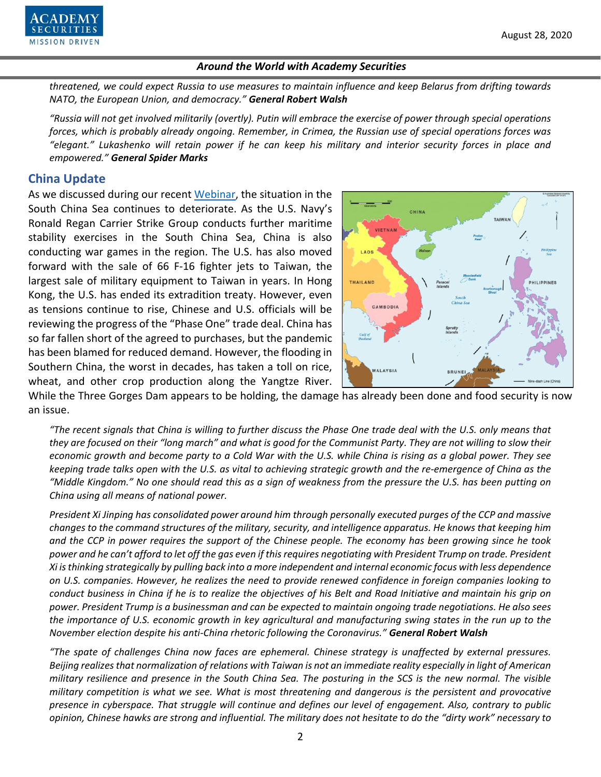

*threatened, we could expect Russia to use measures to maintain influence and keep Belarus from drifting towards NATO, the European Union, and democracy." General Robert Walsh*

*"Russia will not get involved militarily (overtly). Putin will embrace the exercise of power through special operations forces, which is probably already ongoing. Remember, in Crimea, the Russian use of special operations forces was "elegant." Lukashenko will retain power if he can keep his military and interior security forces in place and empowered." General Spider Marks*

# **China Update**

As we discussed during our recent [Webinar,](https://www.academysecurities.com/treating-china-as-a-strategic-competitor-implications-for-corporations-and-investors/) the situation in the South China Sea continues to deteriorate. As the U.S. Navy's Ronald Regan Carrier Strike Group conducts further maritime stability exercises in the South China Sea, China is also conducting war games in the region. The U.S. has also moved forward with the sale of 66 F-16 fighter jets to Taiwan, the largest sale of military equipment to Taiwan in years. In Hong Kong, the U.S. has ended its extradition treaty. However, even as tensions continue to rise, Chinese and U.S. officials will be reviewing the progress of the "Phase One" trade deal. China has so far fallen short of the agreed to purchases, but the pandemic has been blamed for reduced demand. However, the flooding in Southern China, the worst in decades, has taken a toll on rice, wheat, and other crop production along the Yangtze River.



While the Three Gorges Dam appears to be holding, the damage has already been done and food security is now an issue.

*"The recent signals that China is willing to further discuss the Phase One trade deal with the U.S. only means that they are focused on their "long march" and what is good for the Communist Party. They are not willing to slow their economic growth and become party to a Cold War with the U.S. while China is rising as a global power. They see keeping trade talks open with the U.S. as vital to achieving strategic growth and the re-emergence of China as the "Middle Kingdom." No one should read this as a sign of weakness from the pressure the U.S. has been putting on China using all means of national power.*

*President Xi Jinping has consolidated power around him through personally executed purges of the CCP and massive changes to the command structures of the military, security, and intelligence apparatus. He knows that keeping him and the CCP in power requires the support of the Chinese people. The economy has been growing since he took power and he can't afford to let off the gas even if this requires negotiating with President Trump on trade. President Xi is thinking strategically by pulling back into a more independent and internal economic focus with less dependence on U.S. companies. However, he realizes the need to provide renewed confidence in foreign companies looking to conduct business in China if he is to realize the objectives of his Belt and Road Initiative and maintain his grip on power. President Trump is a businessman and can be expected to maintain ongoing trade negotiations. He also sees the importance of U.S. economic growth in key agricultural and manufacturing swing states in the run up to the November election despite his anti-China rhetoric following the Coronavirus." General Robert Walsh*

*"The spate of challenges China now faces are ephemeral. Chinese strategy is unaffected by external pressures. Beijing realizes that normalization of relations with Taiwan is not an immediate reality especially in light of American military resilience and presence in the South China Sea. The posturing in the SCS is the new normal. The visible military competition is what we see. What is most threatening and dangerous is the persistent and provocative presence in cyberspace. That struggle will continue and defines our level of engagement. Also, contrary to public opinion, Chinese hawks are strong and influential. The military does not hesitate to do the "dirty work" necessary to*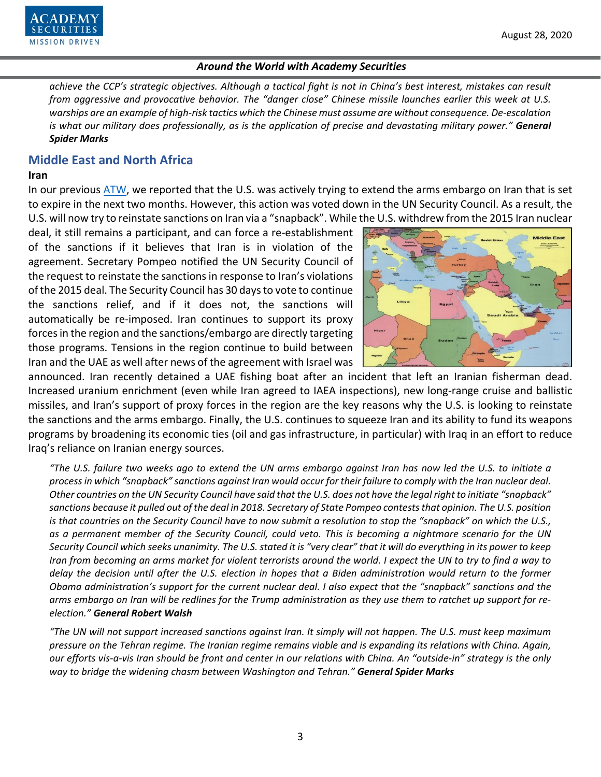

*achieve the CCP's strategic objectives. Although a tactical fight is not in China's best interest, mistakes can result from aggressive and provocative behavior. The "danger close" Chinese missile launches earlier this week at U.S. warships are an example of high-risk tactics which the Chinese must assume are without consequence. De-escalation is what our military does professionally, as is the application of precise and devastating military power." General Spider Marks*

## **Middle East and North Africa**

### **Iran**

In our previous [ATW,](https://www.academysecurities.com/wordpress/wp-content/uploads/2020/08/Around-the-World-with-Academy-Securities_8-14-20.pdf) we reported that the U.S. was actively trying to extend the arms embargo on Iran that is set to expire in the next two months. However, this action was voted down in the UN Security Council. As a result, the U.S. will now try to reinstate sanctions on Iran via a "snapback". While the U.S. withdrew from the 2015 Iran nuclear

deal, it still remains a participant, and can force a re-establishment of the sanctions if it believes that Iran is in violation of the agreement. Secretary Pompeo notified the UN Security Council of the request to reinstate the sanctions in response to Iran's violations of the 2015 deal. The Security Council has 30 days to vote to continue the sanctions relief, and if it does not, the sanctions will automatically be re-imposed. Iran continues to support its proxy forces in the region and the sanctions/embargo are directly targeting those programs. Tensions in the region continue to build between Iran and the UAE as well after news of the agreement with Israel was



announced. Iran recently detained a UAE fishing boat after an incident that left an Iranian fisherman dead. Increased uranium enrichment (even while Iran agreed to IAEA inspections), new long-range cruise and ballistic missiles, and Iran's support of proxy forces in the region are the key reasons why the U.S. is looking to reinstate the sanctions and the arms embargo. Finally, the U.S. continues to squeeze Iran and its ability to fund its weapons programs by broadening its economic ties (oil and gas infrastructure, in particular) with Iraq in an effort to reduce Iraq's reliance on Iranian energy sources.

*"The U.S. failure two weeks ago to extend the UN arms embargo against Iran has now led the U.S. to initiate a process in which "snapback" sanctions against Iran would occur for their failure to comply with the Iran nuclear deal. Other countries on the UN Security Council have said that the U.S. does not have the legal right to initiate "snapback" sanctions because it pulled out of the deal in 2018. Secretary of State Pompeo contests that opinion. The U.S. position is that countries on the Security Council have to now submit a resolution to stop the "snapback" on which the U.S., as a permanent member of the Security Council, could veto. This is becoming a nightmare scenario for the UN Security Council which seeks unanimity. The U.S. stated it is "very clear" that it will do everything in its power to keep Iran from becoming an arms market for violent terrorists around the world. I expect the UN to try to find a way to delay the decision until after the U.S. election in hopes that a Biden administration would return to the former Obama administration's support for the current nuclear deal. I also expect that the "snapback" sanctions and the arms embargo on Iran will be redlines for the Trump administration as they use them to ratchet up support for reelection." General Robert Walsh*

*"The UN will not support increased sanctions against Iran. It simply will not happen. The U.S. must keep maximum pressure on the Tehran regime. The Iranian regime remains viable and is expanding its relations with China. Again, our efforts vis-a-vis Iran should be front and center in our relations with China. An "outside-in" strategy is the only way to bridge the widening chasm between Washington and Tehran." General Spider Marks*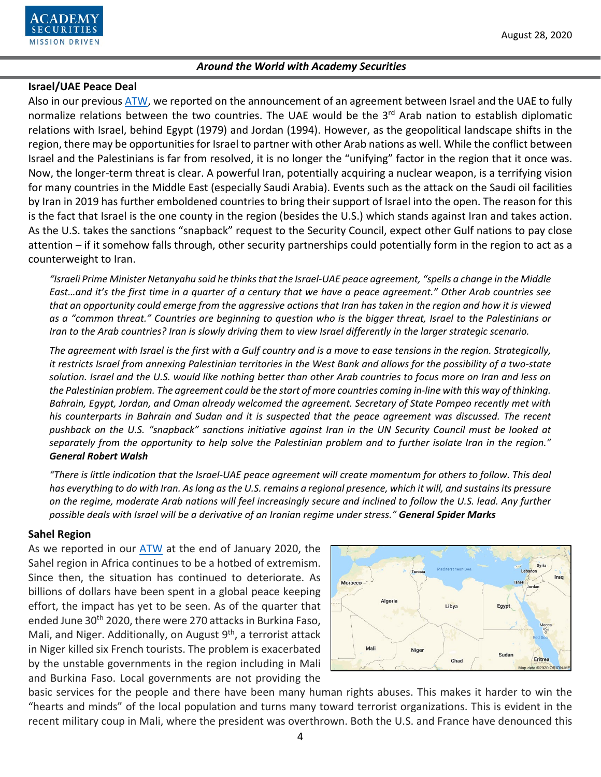

### **Israel/UAE Peace Deal**

Also in our previous [ATW,](https://www.academysecurities.com/wordpress/wp-content/uploads/2020/08/Around-the-World-with-Academy-Securities_8-14-20.pdf) we reported on the announcement of an agreement between Israel and the UAE to fully normalize relations between the two countries. The UAE would be the  $3<sup>rd</sup>$  Arab nation to establish diplomatic relations with Israel, behind Egypt (1979) and Jordan (1994). However, as the geopolitical landscape shifts in the region, there may be opportunities for Israel to partner with other Arab nations as well. While the conflict between Israel and the Palestinians is far from resolved, it is no longer the "unifying" factor in the region that it once was. Now, the longer-term threat is clear. A powerful Iran, potentially acquiring a nuclear weapon, is a terrifying vision for many countries in the Middle East (especially Saudi Arabia). Events such as the attack on the Saudi oil facilities by Iran in 2019 has further emboldened countries to bring their support of Israel into the open. The reason for this is the fact that Israel is the one county in the region (besides the U.S.) which stands against Iran and takes action. As the U.S. takes the sanctions "snapback" request to the Security Council, expect other Gulf nations to pay close attention – if it somehow falls through, other security partnerships could potentially form in the region to act as a counterweight to Iran.

*"Israeli Prime Minister Netanyahu said he thinks that the Israel-UAE peace agreement, "spells a change in the Middle East…and it's the first time in a quarter of a century that we have a peace agreement." Other Arab countries see that an opportunity could emerge from the aggressive actions that Iran has taken in the region and how it is viewed as a "common threat." Countries are beginning to question who is the bigger threat, Israel to the Palestinians or Iran to the Arab countries? Iran is slowly driving them to view Israel differently in the larger strategic scenario.*

*The agreement with Israel is the first with a Gulf country and is a move to ease tensions in the region. Strategically, it restricts Israel from annexing Palestinian territories in the West Bank and allows for the possibility of a two-state solution. Israel and the U.S. would like nothing better than other Arab countries to focus more on Iran and less on the Palestinian problem. The agreement could be the start of more countries coming in-line with this way of thinking. Bahrain, Egypt, Jordan, and Oman already welcomed the agreement. Secretary of State Pompeo recently met with his counterparts in Bahrain and Sudan and it is suspected that the peace agreement was discussed. The recent pushback on the U.S. "snapback" sanctions initiative against Iran in the UN Security Council must be looked at separately from the opportunity to help solve the Palestinian problem and to further isolate Iran in the region." General Robert Walsh*

*"There is little indication that the Israel-UAE peace agreement will create momentum for others to follow. This deal has everything to do with Iran. As long as the U.S. remains a regional presence, which it will, and sustains its pressure on the regime, moderate Arab nations will feel increasingly secure and inclined to follow the U.S. lead. Any further possible deals with Israel will be a derivative of an Iranian regime under stress." General Spider Marks*

### **Sahel Region**

As we reported in our **[ATW](https://www.academysecurities.com/wordpress/wp-content/uploads/2020/01/Around-the-World-with-Academy-Securities-1.31.20.pdf)** at the end of January 2020, the Sahel region in Africa continues to be a hotbed of extremism. Since then, the situation has continued to deteriorate. As billions of dollars have been spent in a global peace keeping effort, the impact has yet to be seen. As of the quarter that ended June 30<sup>th</sup> 2020, there were 270 attacks in Burkina Faso, Mali, and Niger. Additionally, on August  $9<sup>th</sup>$ , a terrorist attack in Niger killed six French tourists. The problem is exacerbated by the unstable governments in the region including in Mali and Burkina Faso. Local governments are not providing the



basic services for the people and there have been many human rights abuses. This makes it harder to win the "hearts and minds" of the local population and turns many toward terrorist organizations. This is evident in the recent military coup in Mali, where the president was overthrown. Both the U.S. and France have denounced this